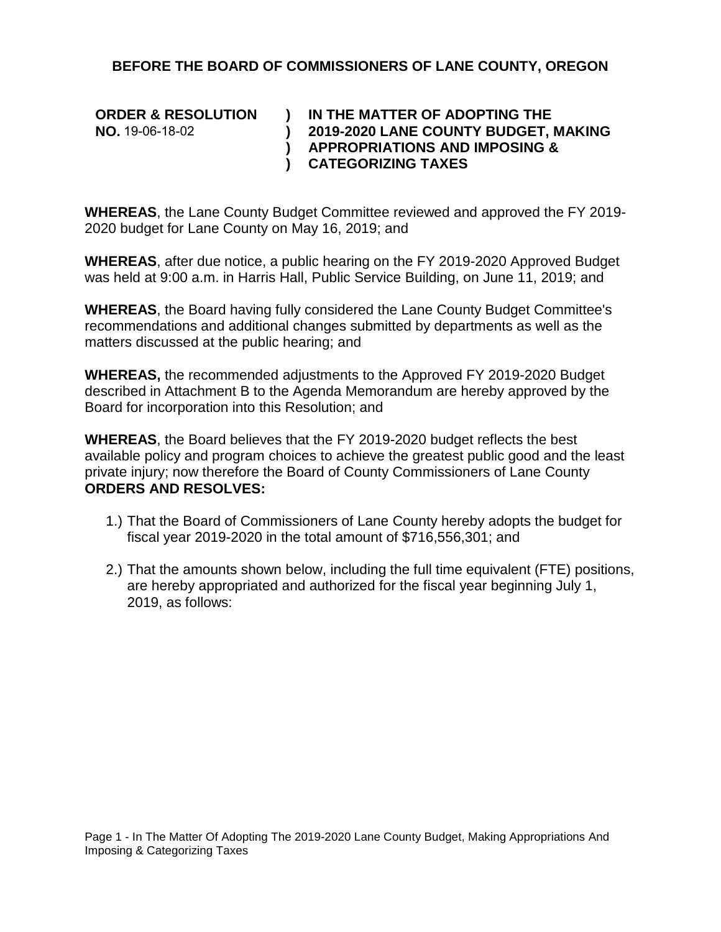#### **BEFORE THE BOARD OF COMMISSIONERS OF LANE COUNTY, OREGON**

| <b>ORDER &amp; RESOLUTION</b> | IN THE MATTER OF ADOPTING THE            |
|-------------------------------|------------------------------------------|
| <b>NO.</b> 19-06-18-02        | 2019-2020 LANE COUNTY BUDGET, MAKING     |
|                               | <b>APPROPRIATIONS AND IMPOSING &amp;</b> |
|                               | <b>CATEGORIZING TAXES</b>                |

**WHEREAS**, the Lane County Budget Committee reviewed and approved the FY 2019- 2020 budget for Lane County on May 16, 2019; and

**WHEREAS**, after due notice, a public hearing on the FY 2019-2020 Approved Budget was held at 9:00 a.m. in Harris Hall, Public Service Building, on June 11, 2019; and

**WHEREAS**, the Board having fully considered the Lane County Budget Committee's recommendations and additional changes submitted by departments as well as the matters discussed at the public hearing; and

**WHEREAS,** the recommended adjustments to the Approved FY 2019-2020 Budget described in Attachment B to the Agenda Memorandum are hereby approved by the Board for incorporation into this Resolution; and

**WHEREAS**, the Board believes that the FY 2019-2020 budget reflects the best available policy and program choices to achieve the greatest public good and the least private injury; now therefore the Board of County Commissioners of Lane County **ORDERS AND RESOLVES:**

- 1.) That the Board of Commissioners of Lane County hereby adopts the budget for fiscal year 2019-2020 in the total amount of \$716,556,301; and
- 2.) That the amounts shown below, including the full time equivalent (FTE) positions, are hereby appropriated and authorized for the fiscal year beginning July 1, 2019, as follows: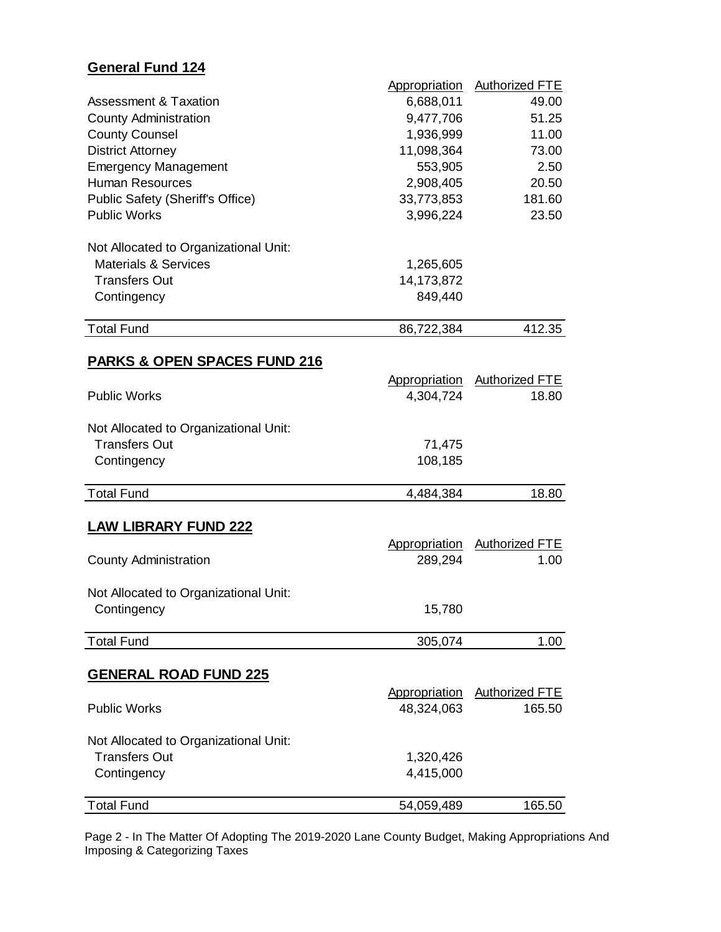# **General Fund 124**

|                                         | <b>Appropriation</b> | Authorized FTE        |
|-----------------------------------------|----------------------|-----------------------|
| <b>Assessment &amp; Taxation</b>        | 6,688,011            | 49.00                 |
| <b>County Administration</b>            | 9,477,706            | 51.25                 |
| <b>County Counsel</b>                   | 1,936,999            | 11.00                 |
| <b>District Attorney</b>                | 11,098,364           | 73.00                 |
| <b>Emergency Management</b>             | 553,905              | 2.50                  |
| <b>Human Resources</b>                  | 2,908,405            | 20.50                 |
| <b>Public Safety (Sheriff's Office)</b> | 33,773,853           | 181.60                |
| <b>Public Works</b>                     | 3,996,224            | 23.50                 |
| Not Allocated to Organizational Unit:   |                      |                       |
| <b>Materials &amp; Services</b>         | 1,265,605            |                       |
| <b>Transfers Out</b>                    | 14,173,872           |                       |
| Contingency                             | 849,440              |                       |
| <b>Total Fund</b>                       | 86,722,384           | 412.35                |
| <u>PARKS &amp; OPEN SPACES FUND 216</u> |                      |                       |
|                                         | Appropriation        | <b>Authorized FTE</b> |
| <b>Public Works</b>                     | 4,304,724            | 18.80                 |
|                                         |                      |                       |
| Not Allocated to Organizational Unit:   |                      |                       |
| <b>Transfers Out</b>                    | 71,475               |                       |
| Contingency                             | 108,185              |                       |
| <b>Total Fund</b>                       | 4,484,384            | 18.80                 |
| <b>LAW LIBRARY FUND 222</b>             |                      |                       |
|                                         | Appropriation        | <b>Authorized FTE</b> |
| <b>County Administration</b>            | 289,294              | 1.00                  |
|                                         |                      |                       |
| Not Allocated to Organizational Unit:   |                      |                       |
| Contingency                             | 15,780               |                       |
|                                         |                      |                       |
| <b>Total Fund</b>                       | 305,074              | 1.00                  |
| <b>GENERAL ROAD FUND 225</b>            |                      |                       |
|                                         | Appropriation        | Authorized FTE        |
| <b>Public Works</b>                     | 48,324,063           | 165.50                |
| Not Allocated to Organizational Unit:   |                      |                       |
| <b>Transfers Out</b>                    | 1,320,426            |                       |
| Contingency                             | 4,415,000            |                       |
| <b>Total Fund</b>                       |                      |                       |
|                                         | 54,059,489           | 165.50                |

Page 2 - In The Matter Of Adopting The 2019-2020 Lane County Budget, Making Appropriations And Imposing & Categorizing Taxes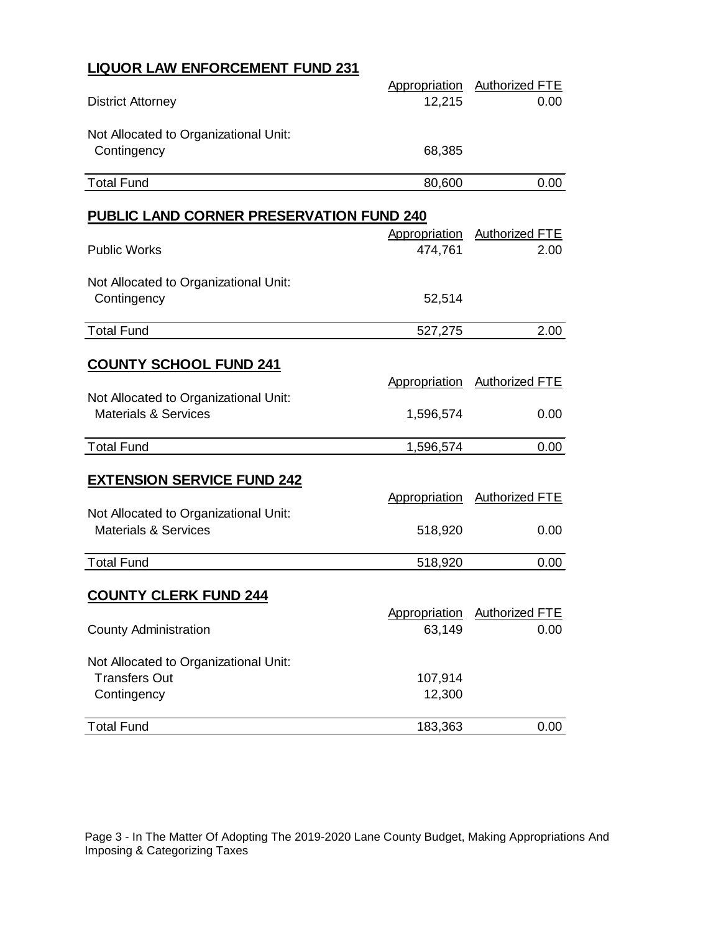## **LIQUOR LAW ENFORCEMENT FUND 231**

| <b>District Attorney</b>                                               | Appropriation<br>12,215  | <b>Authorized FTE</b><br>0.00 |
|------------------------------------------------------------------------|--------------------------|-------------------------------|
| Not Allocated to Organizational Unit:<br>Contingency                   | 68,385                   |                               |
| <b>Total Fund</b>                                                      | 80,600                   | 0.00                          |
| <b>PUBLIC LAND CORNER PRESERVATION FUND 240</b><br><b>Public Works</b> | Appropriation<br>474,761 | <b>Authorized FTE</b><br>2.00 |
| Not Allocated to Organizational Unit:                                  |                          |                               |
| Contingency                                                            | 52,514                   |                               |

#### **COUNTY SCHOOL FUND 241**

| <b>COUNTY SCHOOL FUND 241</b>         |               |                       |
|---------------------------------------|---------------|-----------------------|
|                                       | Appropriation | <b>Authorized FTE</b> |
| Not Allocated to Organizational Unit: |               |                       |
| <b>Materials &amp; Services</b>       | 1,596,574     | 0.00                  |
|                                       |               |                       |
| <b>Total Fund</b>                     | 1,596,574     | 0.00                  |
|                                       |               |                       |
| <b>EXTENSION SERVICE FUND 242</b>     |               |                       |
|                                       | Appropriation | <b>Authorized FTE</b> |
| Not Allocated to Organizational Unit: |               |                       |
| <b>Materials &amp; Services</b>       | 518,920       | 0.00                  |
|                                       |               |                       |
| <b>Total Fund</b>                     | 518,920       | 0.00                  |
|                                       |               |                       |
| <b>COUNTY CLERK FUND 244</b>          |               |                       |
|                                       | Appropriation | <b>Authorized FTE</b> |
| <b>County Administration</b>          | 63,149        | 0.00                  |
|                                       |               |                       |
| Not Allocated to Organizational Unit: |               |                       |
| <b>Transfers Out</b>                  | 107,914       |                       |
| Contingency                           | 12,300        |                       |

Total Fund 183,363 0.00

Page 3 - In The Matter Of Adopting The 2019-2020 Lane County Budget, Making Appropriations And Imposing & Categorizing Taxes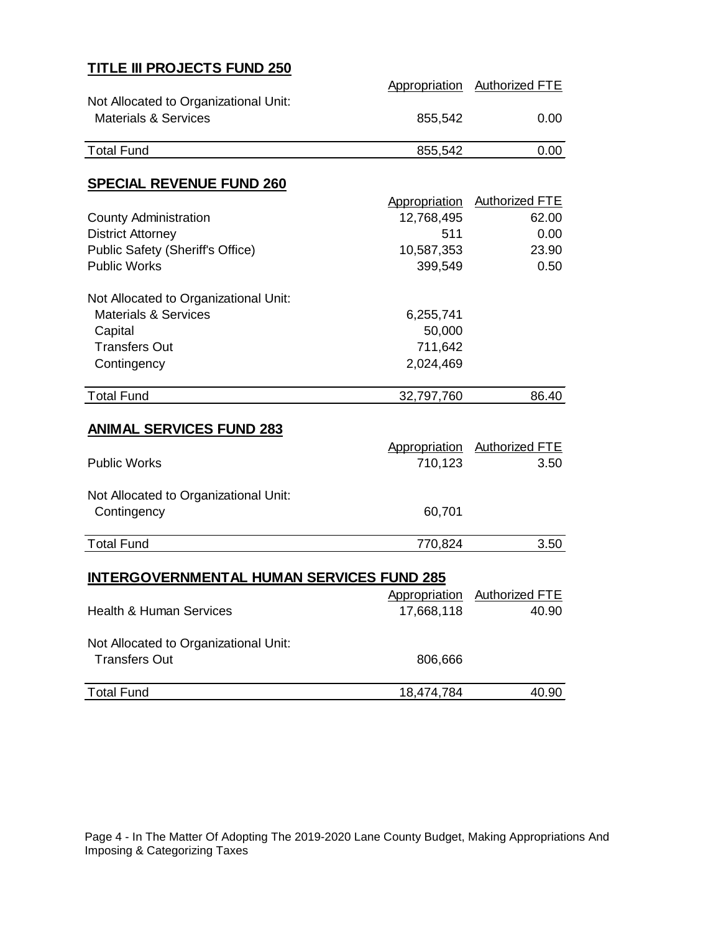## **TITLE III PROJECTS FUND 250**

|                                                                          |                      | Appropriation Authorized FTE |
|--------------------------------------------------------------------------|----------------------|------------------------------|
| Not Allocated to Organizational Unit:<br><b>Materials &amp; Services</b> | 855,542              | 0.00                         |
| <b>Total Fund</b>                                                        | 855,542              | 0.00                         |
|                                                                          |                      |                              |
| <b>SPECIAL REVENUE FUND 260</b>                                          |                      |                              |
|                                                                          | Appropriation        | Authorized FTE               |
| <b>County Administration</b>                                             | 12,768,495           | 62.00                        |
| <b>District Attorney</b>                                                 | 511                  | 0.00                         |
| <b>Public Safety (Sheriff's Office)</b>                                  | 10,587,353           | 23.90                        |
| <b>Public Works</b>                                                      | 399,549              | 0.50                         |
| Not Allocated to Organizational Unit:                                    |                      |                              |
| <b>Materials &amp; Services</b>                                          | 6,255,741            |                              |
| Capital                                                                  | 50,000               |                              |
| <b>Transfers Out</b>                                                     | 711,642              |                              |
| Contingency                                                              | 2,024,469            |                              |
|                                                                          |                      |                              |
| <b>Total Fund</b>                                                        | 32,797,760           | 86.40                        |
| <b>ANIMAL SERVICES FUND 283</b>                                          |                      |                              |
|                                                                          | Appropriation        | Authorized FTE               |
| <b>Public Works</b>                                                      | 710,123              | 3.50                         |
|                                                                          |                      |                              |
| Not Allocated to Organizational Unit:                                    |                      |                              |
| Contingency                                                              | 60,701               |                              |
|                                                                          |                      |                              |
| <b>Total Fund</b>                                                        | 770,824              | 3.50                         |
|                                                                          |                      |                              |
| <b>INTERGOVERNMENTAL HUMAN SERVICES FUND 285</b>                         |                      |                              |
|                                                                          | <b>Appropriation</b> | <b>Authorized FTE</b>        |
| <b>Health &amp; Human Services</b>                                       | 17,668,118           | 40.90                        |
| Not Allocated to Organizational Unit:                                    |                      |                              |
| <b>Transfers Out</b>                                                     | 806,666              |                              |
|                                                                          |                      |                              |
| <b>Total Fund</b>                                                        |                      |                              |

Page 4 - In The Matter Of Adopting The 2019-2020 Lane County Budget, Making Appropriations And Imposing & Categorizing Taxes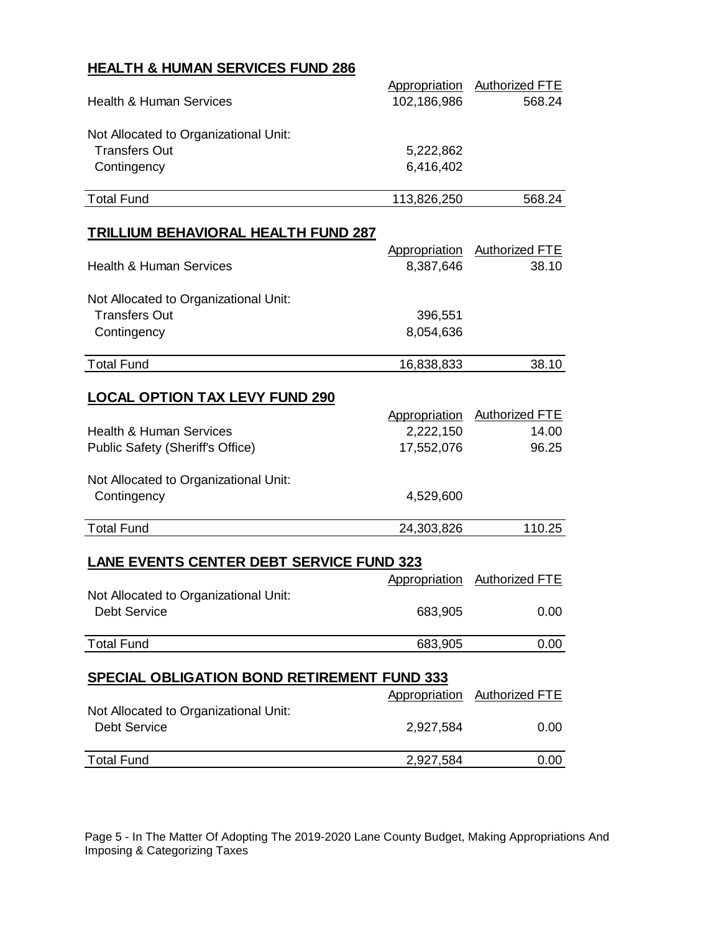## **HEALTH & HUMAN SERVICES FUND 286**

|                                                    |               | Appropriation Authorized FTE |
|----------------------------------------------------|---------------|------------------------------|
| <b>Health &amp; Human Services</b>                 | 102,186,986   | 568.24                       |
|                                                    |               |                              |
| Not Allocated to Organizational Unit:              |               |                              |
| <b>Transfers Out</b>                               | 5,222,862     |                              |
| Contingency                                        | 6,416,402     |                              |
|                                                    |               |                              |
| <b>Total Fund</b>                                  | 113,826,250   | 568.24                       |
| <b>TRILLIUM BEHAVIORAL HEALTH FUND 287</b>         |               |                              |
|                                                    | Appropriation | <b>Authorized FTE</b>        |
| <b>Health &amp; Human Services</b>                 | 8,387,646     | 38.10                        |
|                                                    |               |                              |
| Not Allocated to Organizational Unit:              |               |                              |
| <b>Transfers Out</b>                               | 396,551       |                              |
| Contingency                                        | 8,054,636     |                              |
|                                                    |               |                              |
| <b>Total Fund</b>                                  | 16,838,833    | 38.10                        |
|                                                    |               |                              |
| <u>LOCAL OPTION TAX LEVY FUND 290</u>              |               |                              |
|                                                    | Appropriation | <b>Authorized FTE</b>        |
| <b>Health &amp; Human Services</b>                 | 2,222,150     | 14.00                        |
| Public Safety (Sheriff's Office)                   | 17,552,076    | 96.25                        |
| Not Allocated to Organizational Unit:              |               |                              |
| Contingency                                        | 4,529,600     |                              |
|                                                    |               |                              |
| <b>Total Fund</b>                                  | 24,303,826    | 110.25                       |
|                                                    |               |                              |
| <b>LANE EVENTS CENTER DEBT SERVICE FUND 323</b>    |               |                              |
|                                                    | Appropriation | <b>Authorized FTE</b>        |
| Not Allocated to Organizational Unit:              |               |                              |
| Debt Service                                       | 683,905       | 0.00                         |
|                                                    |               |                              |
| <b>Total Fund</b>                                  | 683,905       | 0.00                         |
| <b>SPECIAL OBLIGATION BOND RETIREMENT FUND 333</b> |               |                              |
|                                                    | Appropriation | <b>Authorized FTE</b>        |
| Not Allocated to Organizational Unit:              |               |                              |
| <b>Debt Service</b>                                | 2,927,584     | 0.00                         |
|                                                    |               |                              |
| <b>Total Fund</b>                                  | 2,927,584     | 0.00                         |

Page 5 - In The Matter Of Adopting The 2019-2020 Lane County Budget, Making Appropriations And Imposing & Categorizing Taxes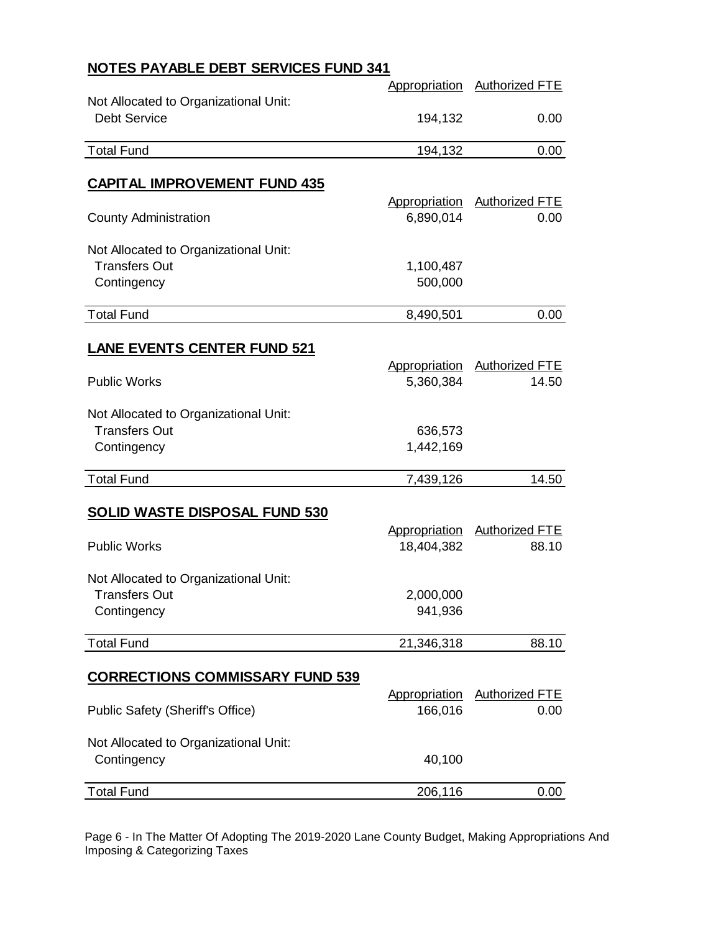# **NOTES PAYABLE DEBT SERVICES FUND 341**

|                                         | Appropriation | Authorized FTE               |
|-----------------------------------------|---------------|------------------------------|
| Not Allocated to Organizational Unit:   |               |                              |
| <b>Debt Service</b>                     | 194,132       | 0.00                         |
|                                         |               |                              |
| <b>Total Fund</b>                       | 194,132       | 0.00                         |
| <b>CAPITAL IMPROVEMENT FUND 435</b>     |               |                              |
|                                         | Appropriation | <b>Authorized FTE</b>        |
| <b>County Administration</b>            | 6,890,014     | 0.00                         |
|                                         |               |                              |
| Not Allocated to Organizational Unit:   |               |                              |
| <b>Transfers Out</b>                    | 1,100,487     |                              |
| Contingency                             | 500,000       |                              |
|                                         |               |                              |
| <b>Total Fund</b>                       | 8,490,501     | 0.00                         |
| <b>LANE EVENTS CENTER FUND 521</b>      |               |                              |
|                                         | Appropriation | <b>Authorized FTE</b>        |
| <b>Public Works</b>                     | 5,360,384     | 14.50                        |
|                                         |               |                              |
| Not Allocated to Organizational Unit:   |               |                              |
| <b>Transfers Out</b>                    | 636,573       |                              |
| Contingency                             | 1,442,169     |                              |
|                                         |               |                              |
| <b>Total Fund</b>                       | 7,439,126     | 14.50                        |
|                                         |               |                              |
| <b>SOLID WASTE DISPOSAL FUND 530</b>    |               |                              |
|                                         |               | Appropriation Authorized FTE |
| <b>Public Works</b>                     | 18,404,382    | 88.10                        |
|                                         |               |                              |
| Not Allocated to Organizational Unit:   |               |                              |
| <b>Transfers Out</b>                    | 2,000,000     |                              |
| Contingency                             | 941,936       |                              |
| <b>Total Fund</b>                       | 21,346,318    | 88.10                        |
|                                         |               |                              |
| <b>CORRECTIONS COMMISSARY FUND 539</b>  |               |                              |
|                                         | Appropriation | <b>Authorized FTE</b>        |
| <b>Public Safety (Sheriff's Office)</b> | 166,016       | 0.00                         |
| Not Allocated to Organizational Unit:   |               |                              |
| Contingency                             | 40,100        |                              |
|                                         |               |                              |
| <b>Total Fund</b>                       | 206,116       | 0.00                         |
|                                         |               |                              |

Page 6 - In The Matter Of Adopting The 2019-2020 Lane County Budget, Making Appropriations And Imposing & Categorizing Taxes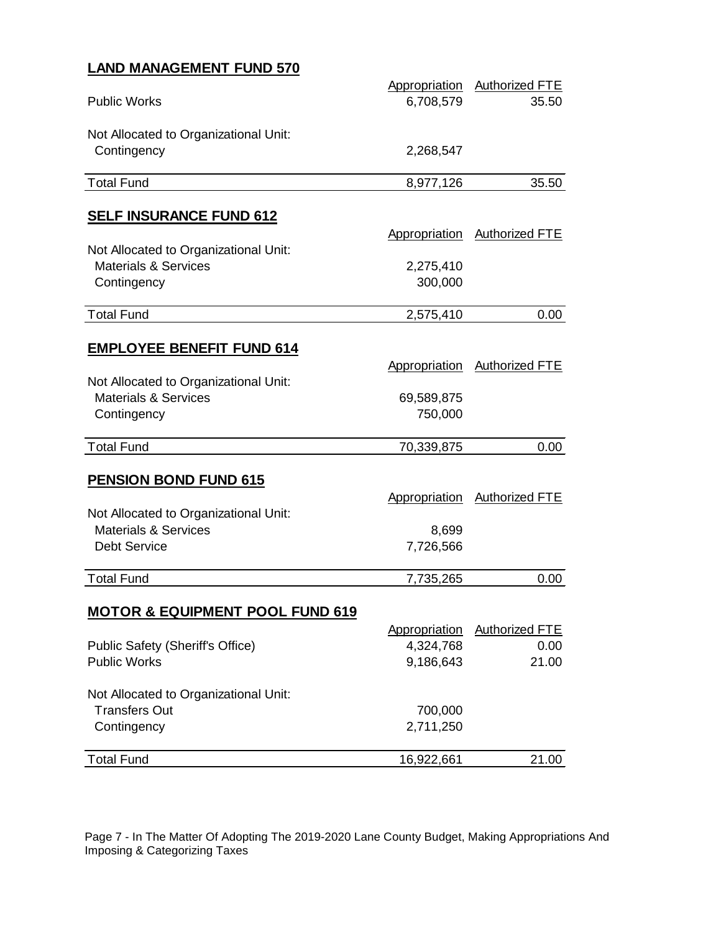## **LAND MANAGEMENT FUND 570**

|                                                                          |                      | Appropriation Authorized FTE |
|--------------------------------------------------------------------------|----------------------|------------------------------|
| <b>Public Works</b>                                                      | 6,708,579            | 35.50                        |
|                                                                          |                      |                              |
| Not Allocated to Organizational Unit:                                    |                      |                              |
| Contingency                                                              | 2,268,547            |                              |
| <b>Total Fund</b>                                                        | 8,977,126            | 35.50                        |
|                                                                          |                      |                              |
| <b>SELF INSURANCE FUND 612</b>                                           |                      |                              |
|                                                                          | Appropriation        | <b>Authorized FTE</b>        |
| Not Allocated to Organizational Unit:<br><b>Materials &amp; Services</b> |                      |                              |
| Contingency                                                              | 2,275,410<br>300,000 |                              |
|                                                                          |                      |                              |
| <b>Total Fund</b>                                                        | 2,575,410            | 0.00                         |
|                                                                          |                      |                              |
| <b>EMPLOYEE BENEFIT FUND 614</b>                                         |                      |                              |
| Not Allocated to Organizational Unit:                                    | Appropriation        | <b>Authorized FTE</b>        |
| <b>Materials &amp; Services</b>                                          | 69,589,875           |                              |
| Contingency                                                              | 750,000              |                              |
|                                                                          |                      |                              |
| <b>Total Fund</b>                                                        | 70,339,875           | 0.00                         |
|                                                                          |                      |                              |
| <b>PENSION BOND FUND 615</b>                                             |                      |                              |
|                                                                          | Appropriation        | <b>Authorized FTE</b>        |
| Not Allocated to Organizational Unit:                                    |                      |                              |
| <b>Materials &amp; Services</b>                                          | 8,699                |                              |
| <b>Debt Service</b>                                                      | 7,726,566            |                              |
| <b>Total Fund</b>                                                        | 7,735,265            | 0.00                         |
|                                                                          |                      |                              |
| <b>MOTOR &amp; EQUIPMENT POOL FUND 619</b>                               |                      |                              |
|                                                                          | Appropriation        | <b>Authorized FTE</b>        |
| Public Safety (Sheriff's Office)                                         | 4,324,768            | 0.00                         |
| <b>Public Works</b>                                                      | 9,186,643            | 21.00                        |
| Not Allocated to Organizational Unit:                                    |                      |                              |
| <b>Transfers Out</b>                                                     | 700,000              |                              |
| Contingency                                                              | 2,711,250            |                              |
|                                                                          |                      |                              |
| <b>Total Fund</b>                                                        | 16,922,661           | 21.00                        |

Page 7 - In The Matter Of Adopting The 2019-2020 Lane County Budget, Making Appropriations And Imposing & Categorizing Taxes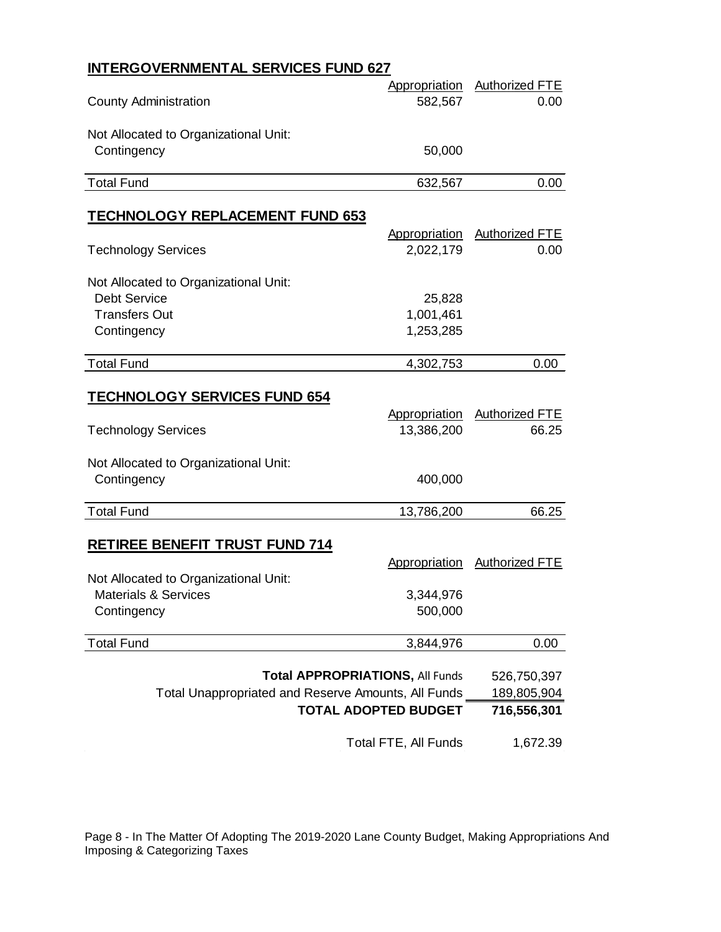## **INTERGOVERNMENTAL SERVICES FUND 627**

|                                       | Appropriation | <b>Authorized FTE</b> |
|---------------------------------------|---------------|-----------------------|
| <b>County Administration</b>          | 582,567       | 0.00                  |
| Not Allocated to Organizational Unit: |               |                       |
| Contingency                           | 50,000        |                       |
| <b>Total Fund</b>                     | 632,567       | 0.00                  |

#### **TECHNOLOGY REPLACEMENT FUND 653**

| <b>Technology Services</b>                                   | Appropriation<br>2,022,179             | <b>Authorized FTE</b><br>0.00 |
|--------------------------------------------------------------|----------------------------------------|-------------------------------|
|                                                              |                                        |                               |
| Not Allocated to Organizational Unit:<br><b>Debt Service</b> |                                        |                               |
| <b>Transfers Out</b>                                         | 25,828<br>1,001,461                    |                               |
|                                                              | 1,253,285                              |                               |
| Contingency                                                  |                                        |                               |
| <b>Total Fund</b>                                            | 4,302,753                              | 0.00                          |
| <b>TECHNOLOGY SERVICES FUND 654</b>                          |                                        |                               |
|                                                              | Appropriation                          | <b>Authorized FTE</b>         |
| <b>Technology Services</b>                                   | 13,386,200                             | 66.25                         |
|                                                              |                                        |                               |
| Not Allocated to Organizational Unit:                        |                                        |                               |
| Contingency                                                  | 400,000                                |                               |
|                                                              |                                        |                               |
|                                                              |                                        |                               |
| <b>Total Fund</b>                                            | 13,786,200                             | 66.25                         |
|                                                              |                                        |                               |
| <b>RETIREE BENEFIT TRUST FUND 714</b>                        | Appropriation                          | <b>Authorized FTE</b>         |
| Not Allocated to Organizational Unit:                        |                                        |                               |
| <b>Materials &amp; Services</b>                              | 3,344,976                              |                               |
| Contingency                                                  | 500,000                                |                               |
|                                                              |                                        |                               |
| <b>Total Fund</b>                                            | 3,844,976                              | 0.00                          |
|                                                              | <b>Total APPROPRIATIONS, All Funds</b> | 526,750,397                   |
| Total Unappropriated and Reserve Amounts, All Funds          |                                        | 189,805,904                   |
|                                                              | <b>TOTAL ADOPTED BUDGET</b>            | 716,556,301                   |

Page 8 - In The Matter Of Adopting The 2019-2020 Lane County Budget, Making Appropriations And Imposing & Categorizing Taxes